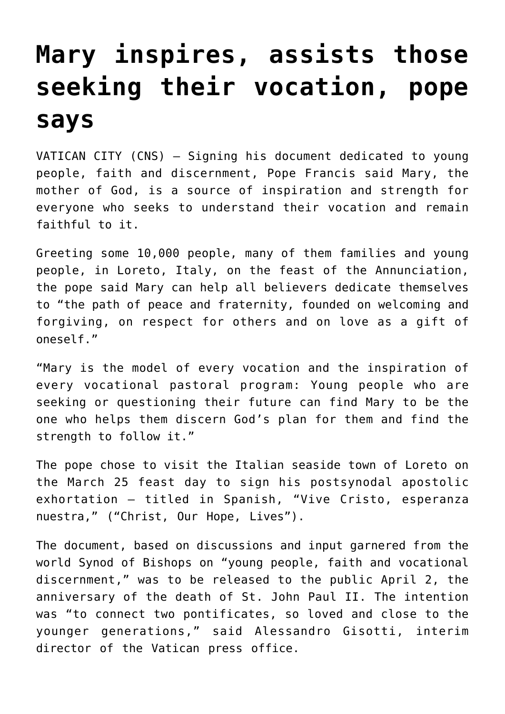## **[Mary inspires, assists those](https://www.osvnews.com/2019/03/25/mary-inspires-assists-those-seeking-their-vocation-pope-says/) [seeking their vocation, pope](https://www.osvnews.com/2019/03/25/mary-inspires-assists-those-seeking-their-vocation-pope-says/) [says](https://www.osvnews.com/2019/03/25/mary-inspires-assists-those-seeking-their-vocation-pope-says/)**

VATICAN CITY (CNS) — Signing his document dedicated to young people, faith and discernment, Pope Francis said Mary, the mother of God, is a source of inspiration and strength for everyone who seeks to understand their vocation and remain faithful to it.

Greeting some 10,000 people, many of them families and young people, in Loreto, Italy, on the feast of the Annunciation, the pope said Mary can help all believers dedicate themselves to "the path of peace and fraternity, founded on welcoming and forgiving, on respect for others and on love as a gift of oneself."

"Mary is the model of every vocation and the inspiration of every vocational pastoral program: Young people who are seeking or questioning their future can find Mary to be the one who helps them discern God's plan for them and find the strength to follow it."

The pope chose to visit the Italian seaside town of Loreto on the March 25 feast day to sign his postsynodal apostolic exhortation — titled in Spanish, "Vive Cristo, esperanza nuestra," ("Christ, Our Hope, Lives").

The document, based on discussions and input garnered from the world Synod of Bishops on "young people, faith and vocational discernment," was to be released to the public April 2, the anniversary of the death of St. John Paul II. The intention was "to connect two pontificates, so loved and close to the younger generations," said Alessandro Gisotti, interim director of the Vatican press office.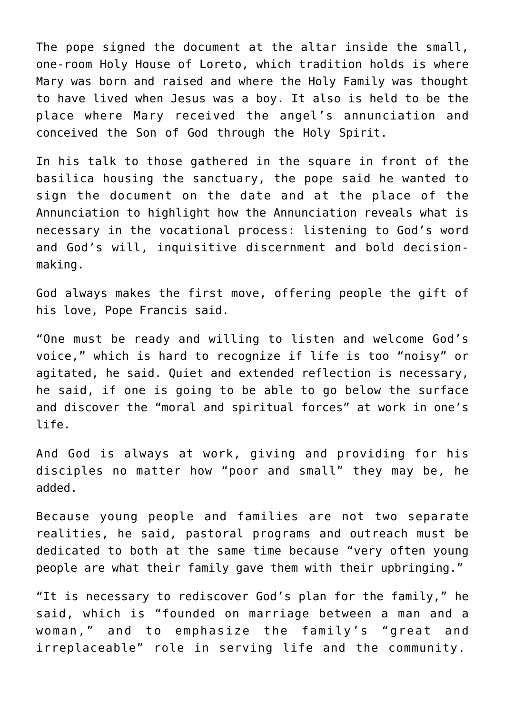The pope signed the document at the altar inside the small, one-room Holy House of Loreto, which tradition holds is where Mary was born and raised and where the Holy Family was thought to have lived when Jesus was a boy. It also is held to be the place where Mary received the angel's annunciation and conceived the Son of God through the Holy Spirit.

In his talk to those gathered in the square in front of the basilica housing the sanctuary, the pope said he wanted to sign the document on the date and at the place of the Annunciation to highlight how the Annunciation reveals what is necessary in the vocational process: listening to God's word and God's will, inquisitive discernment and bold decisionmaking.

God always makes the first move, offering people the gift of his love, Pope Francis said.

"One must be ready and willing to listen and welcome God's voice," which is hard to recognize if life is too "noisy" or agitated, he said. Quiet and extended reflection is necessary, he said, if one is going to be able to go below the surface and discover the "moral and spiritual forces" at work in one's life.

And God is always at work, giving and providing for his disciples no matter how "poor and small" they may be, he added.

Because young people and families are not two separate realities, he said, pastoral programs and outreach must be dedicated to both at the same time because "very often young people are what their family gave them with their upbringing."

"It is necessary to rediscover God's plan for the family," he said, which is "founded on marriage between a man and a woman," and to emphasize the family's "great and irreplaceable" role in serving life and the community.